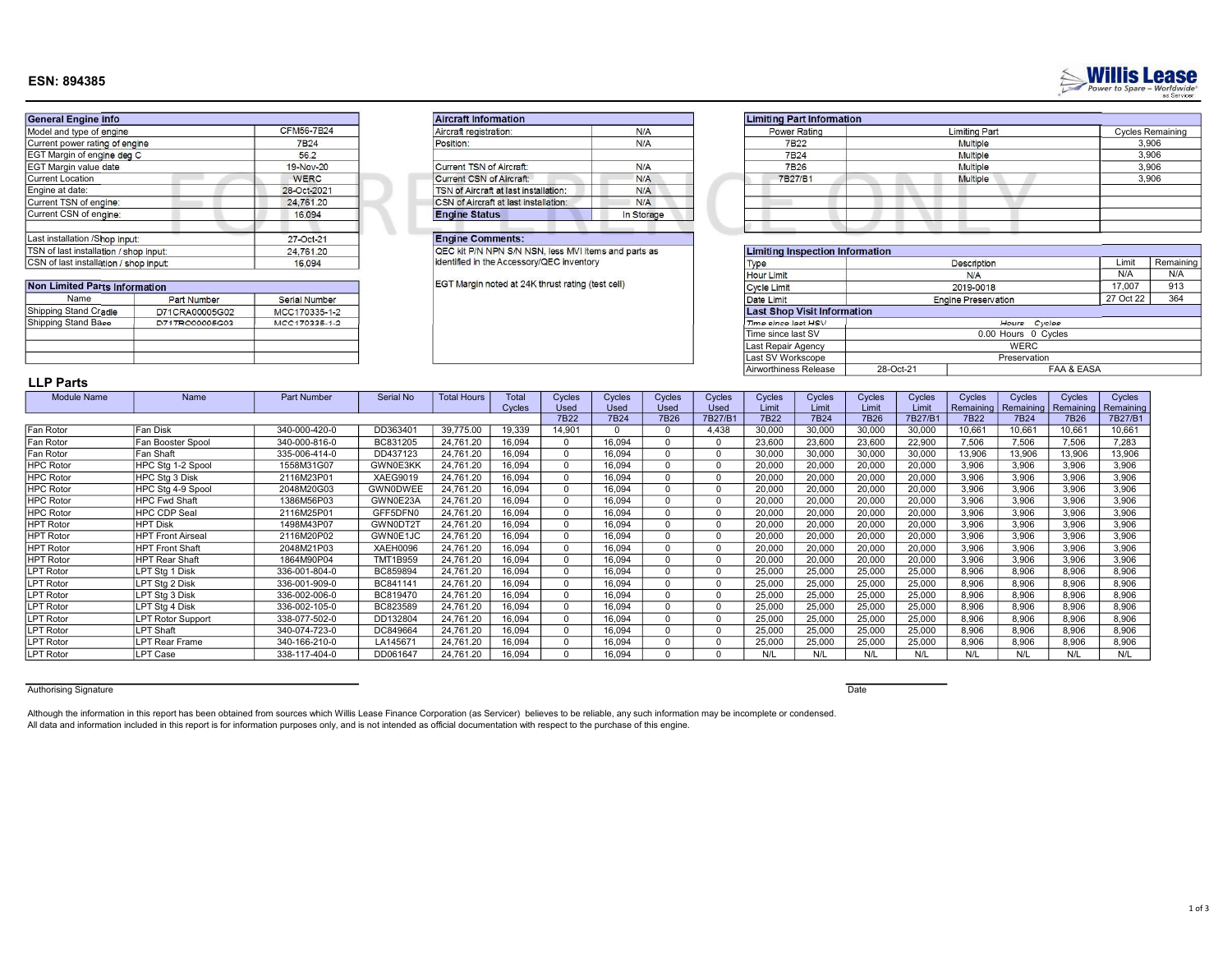# 1 of 3

## ESN: 894385

| <b>General Engine info</b>             |             | <b>Aircraft Information</b>                          |            | <b>Limiting Part Information</b>  |  |
|----------------------------------------|-------------|------------------------------------------------------|------------|-----------------------------------|--|
| Model and type of engine               | CFM56-7B24  | Aircraft registration:                               | N/A        | Power Rating                      |  |
| Current power rating of engine         | 7B24        | Position:                                            | N/A        | 7B22                              |  |
| EGT Margin of engine deg C             | 56.2        |                                                      |            | 7B24                              |  |
| EGT Margin value date                  | 19-Nov-20   | Current TSN of Aircraft:                             | N/A        | 7B26                              |  |
| <b>Current Location</b>                | <b>WERC</b> | Current CSN of Aircraft:                             | N/A        | 7B27/B1                           |  |
| Engine at date:                        | 28-Oct-2021 | TSN of Aircraft at last installation:                | N/A        |                                   |  |
| Current TSN of engine:                 | 24,761.20   | <b>CSN</b> of Aircraft at last installation:         | N/A        |                                   |  |
| Current CSN of engine:                 | 16.094      | <b>Engine Status</b>                                 | In Storage |                                   |  |
| Last installation /Shop input:         | 27-Oct-21   | <b>Engine Comments:</b>                              |            |                                   |  |
| TSN of last installation / shop input: | 24,761.20   | QEC kit P/N NPN S/N NSN, less MVI Items and parts as |            | <b>Limiting Inspection Inform</b> |  |
| CSN of last installation / shop input: | 16.094      | identified in the Accessory/QEC inventory            |            | Type                              |  |

| Non Limited Parts Information |                    |               |  |  |  |  |  |  |  |
|-------------------------------|--------------------|---------------|--|--|--|--|--|--|--|
| Name                          | <b>Part Number</b> | Serial Number |  |  |  |  |  |  |  |
| Shipping Stand Cradle         | D71CRA00005G02     | MCC170335-1-2 |  |  |  |  |  |  |  |
| Shipping Stand Base           | D71TRO00005G03     | MCC170335-1-2 |  |  |  |  |  |  |  |
|                               |                    |               |  |  |  |  |  |  |  |
|                               |                    |               |  |  |  |  |  |  |  |
|                               |                    |               |  |  |  |  |  |  |  |

| Aircraft registration:                | N/A        |
|---------------------------------------|------------|
| Position:                             | N/A        |
| Current TSN of Aircraft:              | N/A        |
| <b>Current CSN of Aircraft:</b>       | N/A        |
| TSN of Aircraft at last installation: | N/A        |
| CSN of Aircraft at last installation: | N/A        |
| <b>Engine Status</b>                  | In Storage |

#### Engine Comments:

| Power Rating | <b>Limiting Part</b> | <b>Cycles Remaining</b> |
|--------------|----------------------|-------------------------|
| 7B22         | <b>Multiple</b>      | 3,906                   |
| 7B24         | Multiple             | 3,906                   |
| 7B26         | Multiple             | 3,906                   |
| 7B27/B1      | <b>Multiple</b>      | 3,906                   |
|              |                      |                         |
|              |                      |                         |
|              |                      |                         |
|              |                      |                         |

| TSN of last installation / shop input:<br>24,761.20 |                                 |               | QEC kit P/N NPN S/N NSN, less MVI Items and parts as | <b>Limiting Inspection Information</b> |           |                            |           |           |
|-----------------------------------------------------|---------------------------------|---------------|------------------------------------------------------|----------------------------------------|-----------|----------------------------|-----------|-----------|
| CSN of last installation / shop input<br>16,094     |                                 |               | identified in the Accessory/QEC inventory            | Type                                   |           | <b>Description</b>         | Limit     | Remaining |
|                                                     |                                 |               |                                                      | <b>Hour Limit</b>                      |           | <b>N/A</b>                 | N/A       | N/A       |
| <b>Non Limited Parts Information</b>                |                                 |               | EGT Margin noted at 24K thrust rating (test cell)    | <b>Cycle Limit</b>                     |           | 2019-0018                  | 17.007    | 913       |
| Name                                                | Part Number                     | Serial Number |                                                      | Date Limit                             |           | <b>Engine Preservation</b> | 27 Oct 22 | 364       |
| Shipping Stand Cradle                               | D71CRA00005G02<br>MCC170335-1-2 |               |                                                      | <b>Last Shop Visit Information</b>     |           |                            |           |           |
| Shipping Stand Base                                 | D71TR000005G03                  | MCC170335-1-2 |                                                      | Time since last HSV                    |           | Hours Cycles               |           |           |
|                                                     |                                 |               |                                                      | Time since last SV                     |           | 0.00 Hours 0 Cycles        |           |           |
|                                                     |                                 |               |                                                      | Last Repair Agency                     |           | WERC                       |           |           |
|                                                     |                                 |               |                                                      | Last SV Workscope                      |           | Preservation               |           |           |
|                                                     |                                 |               |                                                      | Airworthiness Release                  | 28-Oct-21 | <b>FAA &amp; EASA</b>      |           |           |

# LLP Parts

| <b>Module Name</b> | Name                     | <b>Part Number</b> | Serial No       | <b>Total Hours</b> | <b>Total</b> | Cycles | Cycles      | Cycles | Cycles | Cycles | Cycles | Cycles | Cycles | Cycles    | Cycles    | Cycles    | Cycles    |
|--------------------|--------------------------|--------------------|-----------------|--------------------|--------------|--------|-------------|--------|--------|--------|--------|--------|--------|-----------|-----------|-----------|-----------|
|                    |                          |                    |                 |                    | Cycles       | Used   | <b>Used</b> | Used   | Used   | Limit  | Limit  | Limit  | Limit  | Remaining | Remaining | Remaining | Remaining |
|                    |                          |                    |                 |                    |              | 7B22   | 7B24        | 7B26   | 7B27/B | 7B22   | 7B24   | 7B26   | 7B27/B | 7B22      | 7B24      | 7B26      | 7B27/B1   |
| Fan Rotor          | Fan Disk                 | 340-000-420-0      | DD363401        | 39,775.00          | 19,339       | 14.901 |             |        | 4.438  | 30,000 | 30,000 | 30,000 | 30,000 | 10.661    | 10.661    | 10.661    | 10,661    |
| Fan Rotor          | Fan Booster Spool        | 340-000-816-0      | BC831205        | 24.761.20          | 16.094       |        | 16.094      |        |        | 23,600 | 23,600 | 23,600 | 22,900 | 7.506     | 7.506     | 7.506     | 7.283     |
| Fan Rotor          | Fan Shaft                | 335-006-414-0      | DD437123        | 24.761.20          | 16.094       |        | 16.094      |        |        | 30,000 | 30,000 | 30,000 | 30,000 | 13.906    | 13.906    | 13,906    | 13,906    |
| <b>HPC Rotor</b>   | HPC Stg 1-2 Spool        | 1558M31G07         | GWN0E3KK        | 24,761.20          | 16,094       |        | 16,094      |        |        | 20,000 | 20,000 | 20,000 | 20,000 | 3.906     | 3.906     | 3,906     | 3,906     |
| <b>HPC Rotor</b>   | HPC Stg 3 Disk           | 2116M23P01         | XAEG9019        | 24,761.20          | 16,094       |        | 16,094      |        |        | 20,000 | 20,000 | 20,000 | 20,000 | 3.906     | 3.906     | 3.906     | 3,906     |
| <b>HPC Rotor</b>   | HPC Stg 4-9 Spool        | 2048M20G03         | <b>GWN0DWEE</b> | 24,761.20          | 16,094       |        | 16,094      |        |        | 20,000 | 20,000 | 20,000 | 20,000 | 3,906     | 3.906     | 3,906     | 3,906     |
| <b>HPC Rotor</b>   | <b>HPC Fwd Shaft</b>     | 1386M56P03         | GWN0E23A        | 24,761.20          | 16,094       |        | 16,094      |        |        | 20,000 | 20,000 | 20,000 | 20,000 | 3.906     | 3,906     | 3,906     | 3,906     |
| <b>HPC Rotor</b>   | HPC CDP Seal             | 2116M25P01         | GFF5DFN0        | 24.761.20          | 16.094       |        | 16.094      |        |        | 20,000 | 20,000 | 20,000 | 20,000 | 3.906     | 3.906     | 3.906     | 3.906     |
| <b>HPT Rotor</b>   | <b>HPT Disk</b>          | 1498M43P07         | GWN0DT21        | 24,761.20          | 16,094       |        | 16,094      |        |        | 20,000 | 20,000 | 20,000 | 20,000 | 3.906     | 3,906     | 3.906     | 3,906     |
| <b>HPT Rotor</b>   | <b>HPT Front Airseal</b> | 2116M20P02         | GWN0E1JC        | 24,761.20          | 16,094       |        | 16,094      |        |        | 20,000 | 20,000 | 20,000 | 20,000 | 3.906     | 3,906     | 3.906     | 3,906     |
| <b>HPT Rotor</b>   | <b>HPT Front Shaft</b>   | 2048M21P03         | XAEH0096        | 24,761.20          | 16,094       |        | 16,094      |        |        | 20,000 | 20,000 | 20,000 | 20,000 | 3.906     | 3,906     | 3,906     | 3,906     |
| <b>HPT Rotor</b>   | <b>HPT Rear Shaft</b>    | 1864M90P04         | <b>TMT1B959</b> | 24.761.20          | 16.094       |        | 16.094      |        |        | 20,000 | 20,000 | 20,000 | 20,000 | 3.906     | 3.906     | 3.906     | 3.906     |
| PT Rotor           | LPT Sta 1 Disk           | 336-001-804-0      | BC859894        | 24,761.20          | 16,094       |        | 16,094      |        |        | 25,000 | 25,000 | 25,000 | 25,000 | 8,906     | 8.906     | 8,906     | 8.906     |
| PT Rotor           | LPT Sta 2 Disk           | 336-001-909-0      | BC841141        | 24.761.20          | 16.094       |        | 16.094      |        |        | 25,000 | 25,000 | 25,000 | 25,000 | 8.906     | 8.906     | 8.906     | 8.906     |
| PT Rotor           | LPT Stg 3 Disk           | 336-002-006-0      | BC819470        | 24,761.20          | 16,094       |        | 16,094      |        |        | 25,000 | 25,000 | 25,000 | 25,000 | 8,906     | 8.906     | 8.906     | 8.906     |
| PT Rotor           | LPT Stg 4 Disk           | 336-002-105-0      | BC823589        | 24,761.20          | 16,094       |        | 16,094      |        |        | 25,000 | 25,000 | 25,000 | 25,000 | 8.906     | 8,906     | 8.906     | 8.906     |
| PT Rotor           | <b>LPT Rotor Support</b> | 338-077-502-0      | DD132804        | 24.761.20          | 16,094       |        | 16.094      |        |        | 25,000 | 25,000 | 25,000 | 25,000 | 8,906     | 8.906     | 8,906     | 8.906     |
| PT Rotor           | LPT Shaft                | 340-074-723-0      | DC849664        | 24.761.20          | 16.094       |        | 16.094      |        |        | 25,000 | 25,000 | 25,000 | 25,000 | 8.906     | 8.906     | 8.906     | 8.906     |
| PT Rotor           | <b>LPT Rear Frame</b>    | 340-166-210-0      | LA145671        | 24,761.20          | 16,094       |        | 16,094      |        |        | 25,000 | 25,000 | 25,000 | 25,000 | 8,906     | 8,906     | 8,906     | 8,906     |
| <b>LPT Rotor</b>   | LPT Case                 | 338-117-404-0      | DD061647        | 24,761.20          | 16,094       |        | 16,094      |        |        | N/L    | N/L    |        | N/L    | N/L       | N/L       | N/L       | N/L       |

#### Authorising Signature **Date**

All data and information included in this report is for information purposes only, and is not intended as official documentation with respect to the purchase of this engine. Although the information in this report has been obtained from sources which Willis Lease Finance Corporation (as Servicer) believes to be reliable, any such information may be incomplete or condensed.



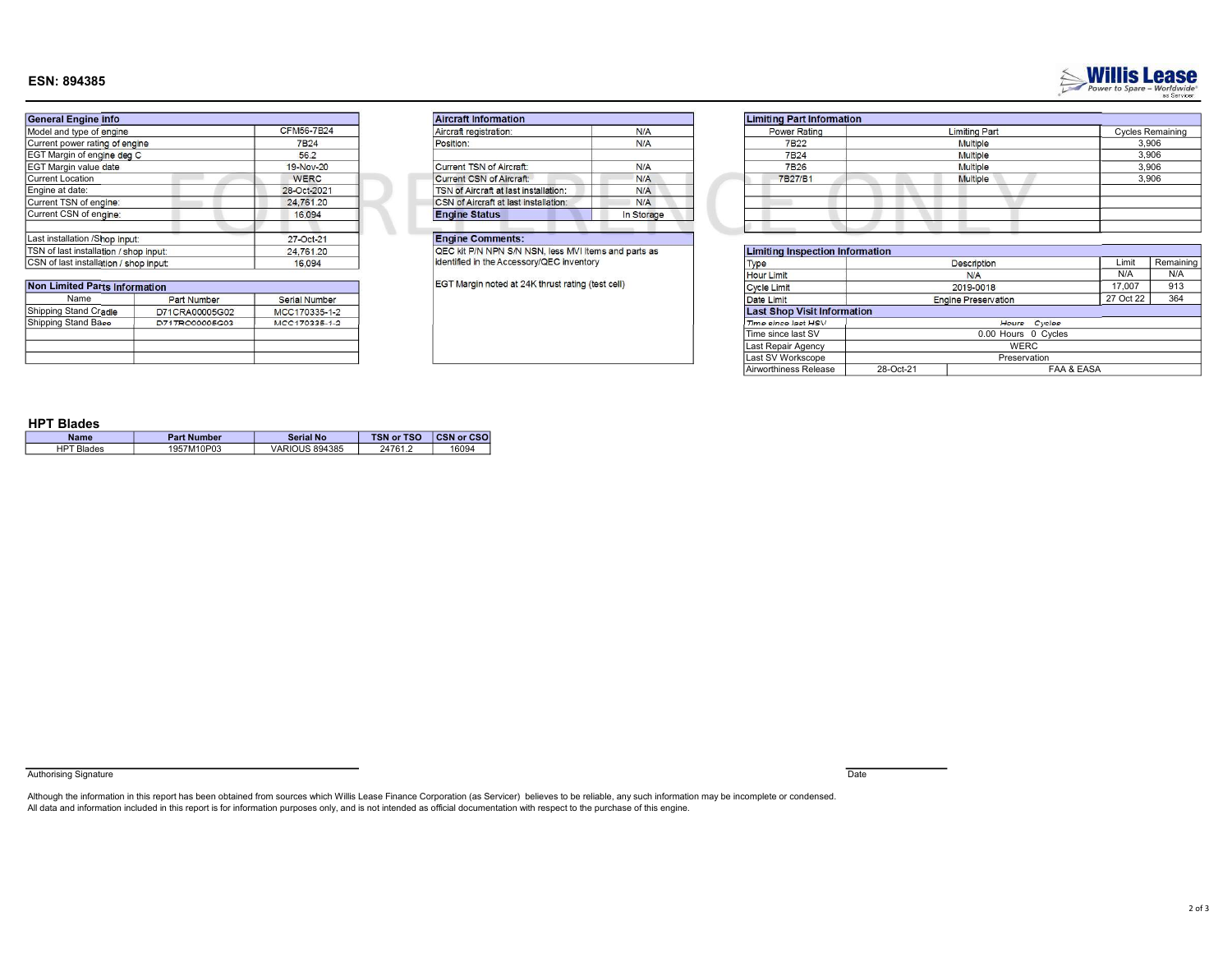## ESN: 894385



| <b>General Engine info</b>             |                   | <b>Aircraft Information</b>                          |            | <b>Limiting Part Information</b>  |  |
|----------------------------------------|-------------------|------------------------------------------------------|------------|-----------------------------------|--|
| Model and type of engine               | <b>CFM56-7B24</b> | Aircraft registration:                               | N/A        | Power Rating                      |  |
| Current power rating of engine         | 7B24              | Position:                                            | N/A        | 7B <sub>22</sub>                  |  |
| EGT Margin of engine deg C             | 56.2              |                                                      |            | 7B24                              |  |
| EGT Margin value date                  | 19-Nov-20         | Current TSN of Aircraft:                             | N/A        | 7B26                              |  |
| Current Location                       | <b>WERC</b>       | Current CSN of Aircraft:                             | N/A        | 7B27/B1                           |  |
| Engine at date:                        | 28-Oct-2021       | TSN of Aircraft at last installation:                | N/A        |                                   |  |
| Current TSN of engine:                 | 24,761.20         | <b>CSN</b> of Aircraft at last installation:         | N/A        |                                   |  |
| Current CSN of engine:                 | 16.094            | <b>Engine Status</b>                                 | In Storage |                                   |  |
| Last installation / Shop input:        | 27-Oct-21         | <b>Engine Comments:</b>                              |            |                                   |  |
| TSN of last installation / shop input: | 24,761.20         | QEC kit P/N NPN S/N NSN, less MVI Items and parts as |            | <b>Limiting Inspection Inform</b> |  |
| CSN of last installation / shop input  | 16.094            | identified in the Accessory/QEC inventory            |            | Type                              |  |

| <b>Non Limited Parts Information</b> |                    |               |  |  |  |  |  |  |  |
|--------------------------------------|--------------------|---------------|--|--|--|--|--|--|--|
| Name                                 | <b>Part Number</b> | Serial Number |  |  |  |  |  |  |  |
| Shipping Stand Cradle                | D71CRA00005G02     | MCC170335-1-2 |  |  |  |  |  |  |  |
| Shipping Stand Base                  | D71TR000005G03     | MCC170335-1-2 |  |  |  |  |  |  |  |
|                                      |                    |               |  |  |  |  |  |  |  |
|                                      |                    |               |  |  |  |  |  |  |  |
|                                      |                    |               |  |  |  |  |  |  |  |

| Aircraft registration:                | N/A        |
|---------------------------------------|------------|
| Position:                             | N/A        |
| Current TSN of Aircraft:              | N/A        |
| <b>Current CSN of Aircraft:</b>       | N/A        |
| TSN of Aircraft at last installation: | N/A        |
| CSN of Aircraft at last installation: | N/A        |
| <b>Engine Status</b>                  | In Storage |

## Engine Comments:

|         | <b>Limiting Part Information</b> |                      |                         |
|---------|----------------------------------|----------------------|-------------------------|
| N/A     | Power Rating                     | <b>Limiting Part</b> | <b>Cycles Remaining</b> |
| N/A     | 7B22                             | Multiple             | 3.906                   |
|         | <b>7B24</b>                      | Multiple             | 3,906                   |
| N/A     | 7B26                             | Multiple             | 3,906                   |
| N/A     | 7B27/B1                          | <b>Multiple</b>      | 3,906                   |
| N/A     |                                  |                      |                         |
| N/A     |                                  |                      |                         |
| storage |                                  |                      |                         |
|         |                                  |                      |                         |

| 24,761.20<br>TSN of last installation / shop input: |                    | QEC kit P/N NPN S/N NSN, less MVI Items and parts as |                                                   | <b>Limiting Inspection Information</b> |                                    |                             |                            |           |     |  |
|-----------------------------------------------------|--------------------|------------------------------------------------------|---------------------------------------------------|----------------------------------------|------------------------------------|-----------------------------|----------------------------|-----------|-----|--|
| CSN of last installation / shop input<br>16,094     |                    |                                                      | identified in the Accessory/QEC inventory<br>Type |                                        |                                    | <b>Description</b><br>Limit |                            |           |     |  |
|                                                     |                    |                                                      |                                                   |                                        | <b>Hour Limit</b>                  |                             | N/A                        | N/A       |     |  |
| <b>Non Limited Parts Information</b>                |                    |                                                      | EGT Margin noted at 24K thrust rating (test cell) |                                        | Cycle Limit                        |                             | 2019-0018                  | 17.007    | 913 |  |
| Name                                                | <b>Part Number</b> | Serial Number                                        |                                                   |                                        | Date Limit                         |                             | <b>Engine Preservation</b> | 27 Oct 22 | 364 |  |
| Shipping Stand Cradle                               | D71CRA00005G02     | MCC170335-1-2                                        |                                                   |                                        | <b>Last Shop Visit Information</b> |                             |                            |           |     |  |
| Shipping Stand Base                                 | D71TR000005G03     | MCC170335-1-2                                        |                                                   |                                        | Time since last HSV                |                             | Hours Cycles               |           |     |  |
|                                                     |                    |                                                      |                                                   |                                        | Time since last SV                 |                             | 0.00 Hours 0 Cycles        |           |     |  |
|                                                     |                    |                                                      |                                                   |                                        | Last Repair Agency                 |                             | WERC                       |           |     |  |
|                                                     |                    |                                                      |                                                   |                                        | Last SV Workscope                  |                             | Preservation               |           |     |  |
|                                                     |                    |                                                      |                                                   |                                        | Airworthiness Release              | 28-Oct-21                   | FAA & EASA                 |           |     |  |

#### HPT Blades

| Name       | <b>Part Number</b> | Serial No             | <b>TSN or TSO</b> | <b>CSN or CSO</b> |
|------------|--------------------|-----------------------|-------------------|-------------------|
| HPT Blades | 1957M10P03         | <b>VARIOUS 894385</b> | 24761.2           | 16094             |

Authorising Signature **Date** 

Although the information in this report has been obtained from sources which Willis Lease Finance Corporation (as Servicer) believes to be reliable, any such information may be incomplete or condensed.<br>All data and informa